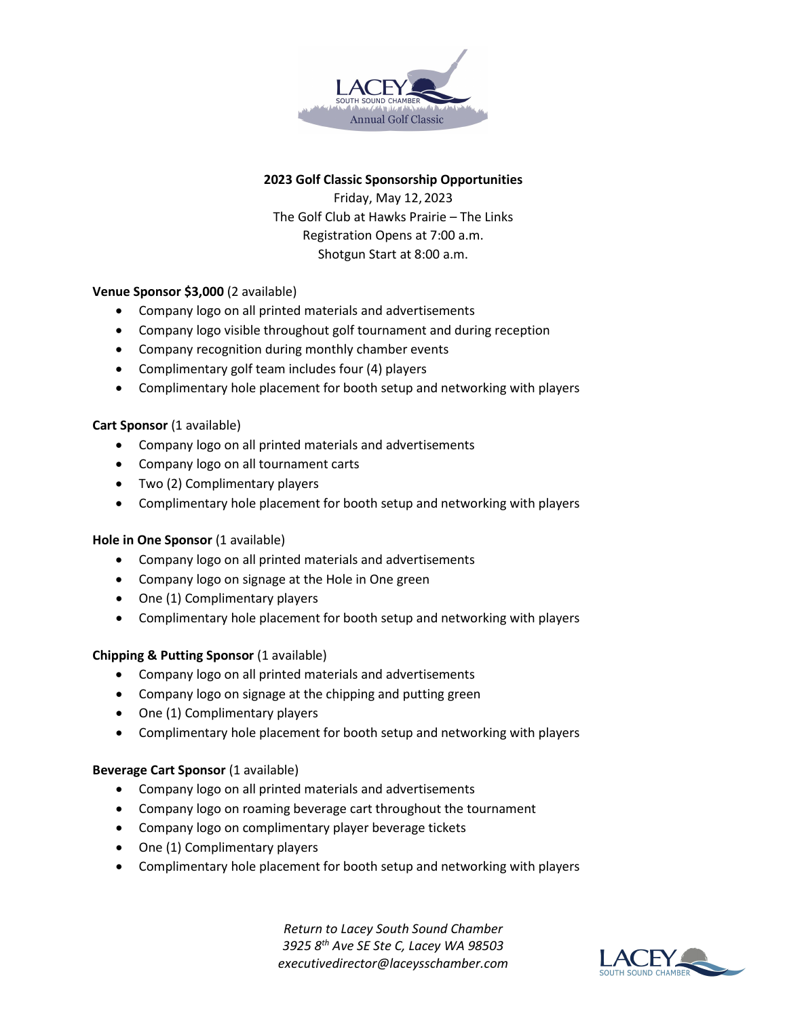

# **2023 Golf Classic Sponsorship Opportunities**

Friday, May 12, 2023 The Golf Club at Hawks Prairie – The Links Registration Opens at 7:00 a.m. Shotgun Start at 8:00 a.m.

## **Venue Sponsor \$3,000** (2 available)

- Company logo on all printed materials and advertisements
- Company logo visible throughout golf tournament and during reception
- Company recognition during monthly chamber events
- Complimentary golf team includes four (4) players
- Complimentary hole placement for booth setup and networking with players

### **Cart Sponsor** (1 available)

- Company logo on all printed materials and advertisements
- Company logo on all tournament carts
- Two (2) Complimentary players
- Complimentary hole placement for booth setup and networking with players

### **Hole in One Sponsor** (1 available)

- Company logo on all printed materials and advertisements
- Company logo on signage at the Hole in One green
- One (1) Complimentary players
- Complimentary hole placement for booth setup and networking with players

### **Chipping & Putting Sponsor** (1 available)

- Company logo on all printed materials and advertisements
- Company logo on signage at the chipping and putting green
- One (1) Complimentary players
- Complimentary hole placement for booth setup and networking with players

### **Beverage Cart Sponsor** (1 available)

- Company logo on all printed materials and advertisements
- Company logo on roaming beverage cart throughout the tournament
- Company logo on complimentary player beverage tickets
- One (1) Complimentary players
- Complimentary hole placement for booth setup and networking with players

*Return to Lacey South Sound Chamber 3925 8th Ave SE Ste C, Lacey WA 98503 executivedirector@laceysschamber.com*